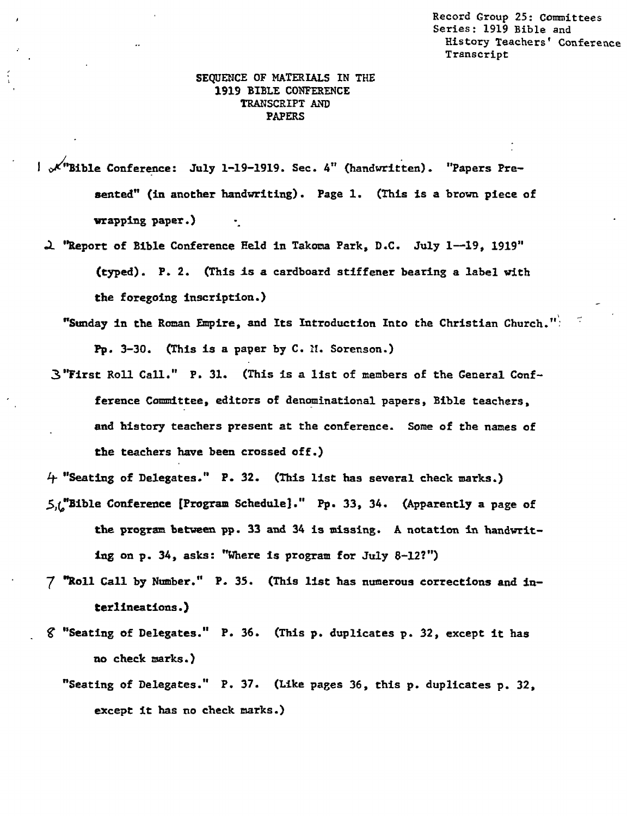**Record Group 25: Committees Series: 1919 Bible and History Teachers' Conference Transcript** 

## **SEQUENCE OF MATERIALS IN THE 1919 BIBLE CONFERENCE TRANSCRIPT AND PAPERS**

- **0/"Bible Conference: July 1-19-1919. Sec. 4" (handwritten). "Papers Presented" (in another handwriting). Page 1. (This is a brown piece of wrapping paper.)** •
	- a **"Report of Bible Conference Feld in Takoma Park, D.C. July 1-19, 1919" (typed). P. 2. (This is a cardboard stiffener bearing a label with the foregoing inscription.)** 
		- **"Sunday in the Roman Empire, and Its Introduction Into the Christian Church." Pp. 3-30. (This is a paper by C. N. Sorenson.)**
	- **3"First Roll Call." P. 31. (This is a list of members of the General Confference Committee, editors of denominational papers, Bible teachers, and history teachers present at the conference. Some of the names of the teachers have been crossed off.)**

**4 "Seating of Delegates." P. 32. (This list has several check marks.)** 

- **5A,"Bible Conference [Program Schedule]." Pp. 33, 34. (Apparently a page of the program between pp. 33 and 34 is missing. A notation in handwriting on p. 34, asks: "Where is program for July 8-12?")**
- 7 **"Roll Call by Number." P. 35. (This list has numerous corrections and interlineations.)**
- **gs "Seating of Delegates." P. 36. (This p. duplicates p. 32, except it has no check marks.)** 
	- **"Seating of Delegates." P. 37. (Like pages 36, this p. duplicates p. 32, except it has no check marks.)**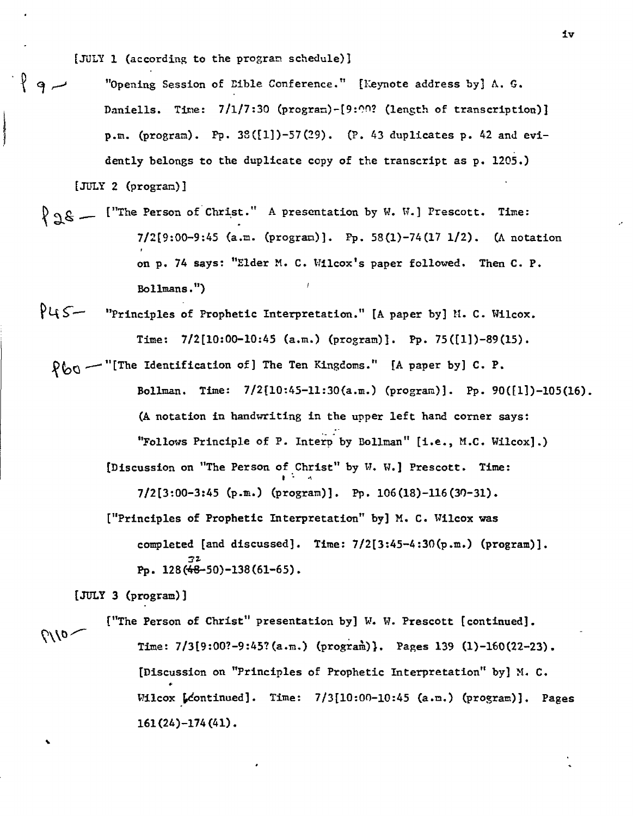[JULY 1 (according to the program schedule)]

- "Opening Session of Lible Conference." [Keynote address by]  $\Lambda$ . G. Daniells. Time:  $7/1/7:30$  (program)-[9:00? (length of transcription)] p.m. (program). Pp.  $38([1])-57(29)$ . (P. 43 duplicates p. 42 and evidently belongs to the duplicate copy of the transcript as p. 1205.) [JULY 2 (program)]
	- $\{98 -$  ["The Person of Christ." A presentation by W. W.] Prescott. Time: 7/2[9:00-9:45 (a.m. (program)]. Pp. 58(1)-74(17 1/2). (A notation on p. 74 says: "Elder M. C. Wilcox's paper followed. Then C. P. Bollmans.")
- $P45 -$  "Principles of Prophetic Interpretation." [A paper by] M. C. Wilcox. Time: 7/2(10:00-10:45 (a.m.) (program)]. Pp. 75([1])-89(15).
- $R_{00}$  -"[The Identification of] The Ten Kingdoms." [A paper by] C. P. Bollman. Time:  $7/2[10:45-11:30(a.m.)$  (program)]. Pp. 90([1])-105(16). (A notation in handwriting in the **upper** left hand corner says: "Follows Principle of P. Interp by Bollman" [i.e., M.C. Wilcox].) [Discussion on "The Person of Christ" by W. W.] Prescott. Time:  $\mathbf{I}$  and  $\mathbf{A}$ 7/2(3:00-3:45 (p.m.) (program)]. Pp. 106(18)-116(30-31). ["Principles of Prophetic Interpretation" by] M. C. Wilcox was completed [and discussed]. Time: 7/2[3:45-4:30(p.m.) (program)]. 22-

Pp. 128(48-50)-138(61-65).

[JULY 3 (program)]

["The Person of Christ" presentation by] W. W. Prescott [continued].  $\sqrt{10}$  Time: 7/3[9:00?-9:45?(a.m.) (program)}. Pages 139 (1)-160(22-23). [Discussion on "Principles of Prophetic Interpretation" by] M. C. Wilcox  $[{\tt f}$  continued]. Time:  $7/3[10:00-10:45$  (a.m.) (program)]. Pages 161(24)-174(41).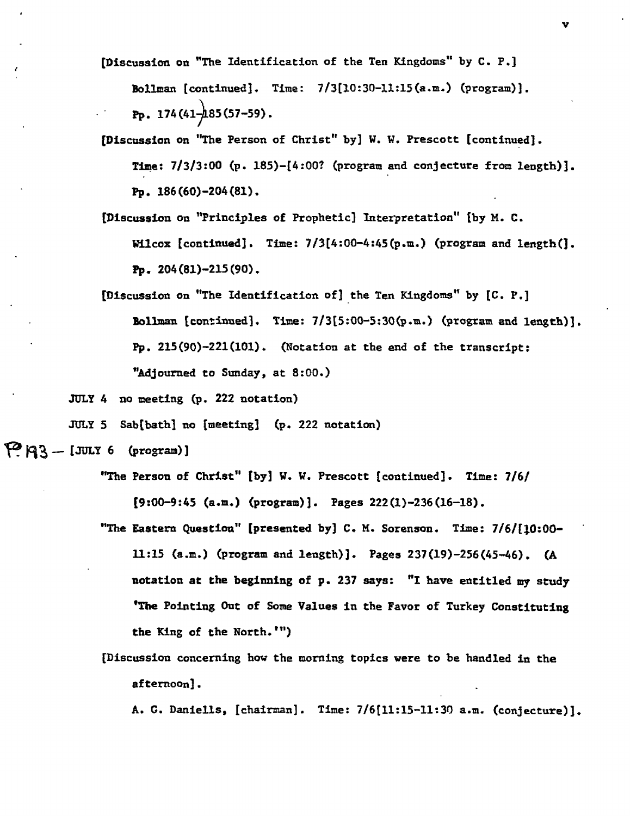**[Discussion on "The Identification of the Ten Kingdoms" by C. P.]** 

**Dollman [continued]. Time: 7/3[10:30-11:15(a.m.) (program)]. Pp. 174(4485(57-59).** 

- **[Discussion on "The Person of Christ" by] W. W. Prescott [continued]. Time: 7/3/3:00 (p. 185)-(4:00? (program and conjecture from length)]. Pp. 186(60)-204(81).**
- **[Discussion on "Principles of Prophetic] Interpretation" [by M. C. Wilcox [continued]. Time: 7/3[4:00-4:45(p.m.) (program and length(]. Pp. 204(81)-215(90).**
- **[Discussion on "The Identification of] the Ten Kingdoms" by [C. P.] Ullman [continued]. Time: 7/3[5:00-5:30(p.m.) (program and length)]. Pp. 215(90)-221(101). (Notation at the end of the transcript: "Adjourned to Sunday, at 8:00.)**

**JULY 4 no meeting (p. 222 notation)** 

**JULY 5** Sab[bath] no [meeting] (p. 222 notation)

```
\mathbb{P}[\mathbb{R} \times \mathbb{R} - [JULY 6 (program)]
```
- **"The Person of Christ" [by] W. W. Prescott [continued]. Time: 7/6/ [9:00-9:45 (a.m.) (program)]. Pages 222(1)-236(16-18).**
- **"The Eastern Question" [presented by] C. M. Sorenson. Time: 7/6/[10:00- 11:15 (a.m.) (program and length)]. Pages 237(19)-256(45-46). (A notation at the beginning of p. 237 says: "I have entitled my study 'The Pointing Out of Some Values in the Favor of Turkey Constituting the King of the North.")**
- **[Discussion concerning how the morning topics were to be handled in the afternoon].**

**A. G. Daniells, [chairman]. Time: 7/6[11:15-11:30 a.m. (conjecture)].**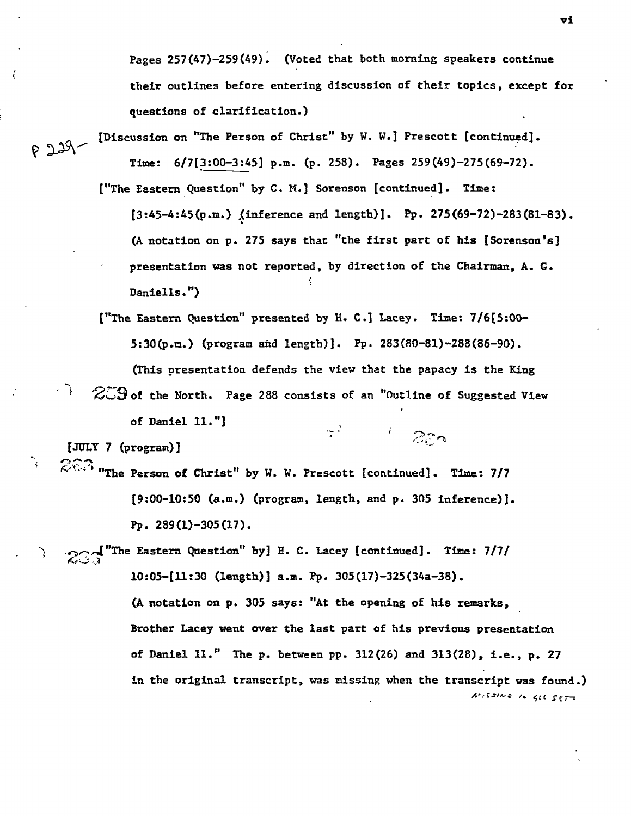**Pages 257(47)-259(49). (Voted that both morning speakers continue their outlines before entering discussion of their topics, except for questions of clarification.)** 

**[Discussion on "The Person of Christ" by W. W.j Prescott [continued].**   $P 229 -$ **Time: 6/7[3:00-3:45] p.m. (p. 258). Pages 259(49)-275(69-72).** 

> **["The Eastern Question" by C. M.] Sorenson [continued]. Time: [3:45-4:45(p.m.) (inference and length)]. Pp. 275(69-72)-283(81-83). (A notation on p. 275 says that "the first part of his [Sorenson's] presentation was not reported, by direction of the Chairman, A. G.**  ÷ **Daniel's.")**

> > $1222$

**("The Eastern Question" presented by H. C.] Lacey. Time: 7/6[5:00- 5:30(p.m.) (program and length)]. Pp. 283(80-81)-288(86-90). (This presentation defends the view that the papacy is the King**   $\approx$   $3$  of the North. Page 288 consists of an "Outline of Suggested View

 $\frac{1}{2}$  ,  $\frac{1}{2}$  ,

**of Daniel 11."]** 

**[JULY 7 (program)]** 

 $\cdot$   $\rightarrow$ 

٦,

 $\left($ 

**"The Person of Christ" by W. W. Prescott [continued]. Time: 7/7 [9:00-10:50 (a.m.) (program, length, and p. 305 inference)]. Pp. 289(1)-305(17).** 

**233** The Eastern Question" by] H. C. Lacey [continued]. Time: 7/7/ **10:05-[11:30 (length)] a.m. Pp. 305(17)-325(34a-38). (A notation on p. 305 says: "At the opening of his remarks, Brother Lacey went over the last part of his previous presentation of Daniel 11." The p. between pp. 312(26) and 313(28), i.e., p. 27 in the original transcript, was missing when the transcript was found.) • 1ES".** *• qc* c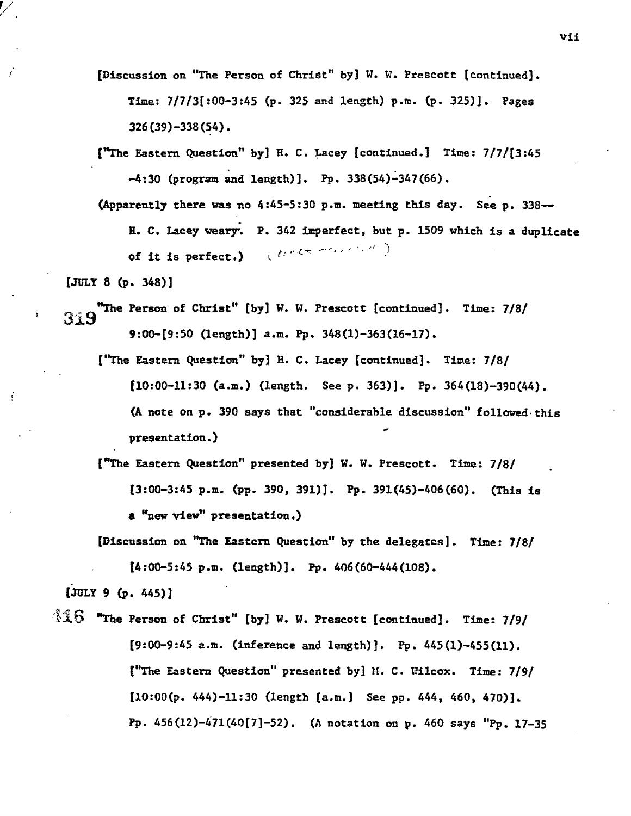**[Discussion on "The Person of Christ" by] W. W. Prescott [continued]. Time: 7/7/3[:00-3:45 (p. 325 and length) p.m. (p. 325)1. Pages 326(39)-338(54).** 

**("The Eastern Question" by] H. C. Lacey [continued.] Time: 7/7/[3:45 -4:30 (program and length)]. Pp. 338(54)-347(66).** 

**(Apparently there was no 4:45-5:30 p.m. meeting this day. See p. 338--** 

**R. C. Lacey weary% P. 342 imperfect, but p. 1509 which is a duplicate of it is perfect.)** (  $\mathcal{U}^{p,q,\pi}$   $\mathcal{I}^{p,q,\pi}$  )

**[JULY 8 (p. 348)]** 

 $\mathbf{A}$ 

Ī

313 **"The Person of Christ" [by] W. W. Prescott [continued]. Time: 7/8/ 9:00-[9:50 (length)] a.m. Pp. 348(1)-363(16-17).** 

**("The Eastern Question" by] A. C. Lacey [continued]. Time: 7/8/ (10:00-11:30 (a.m.) (length. See p. 363)]. Pp. 364(18)-390(44). (A note on p. 390 says that "considerable discussion" followed this presentation.)** 

**["The Eastern Question" presented by] W. W. Prescott. Time: 7/8/ [3:00-3:45 p.m. (pp. 390, 391)]. Pp. 391(45)-406(60). (This is a "new view" presentation.)** 

**[Discussion on "The Eastern Question" by the delegates]. Time: 7/8/** 

**[4:00-5:45 p.m. (length)]. Pp. 406(60-444(108).** 

**(JULY 9 (p. 445)]** 

il6 **"The Person of Christ" [by] W. W. Prescott [continued]. Time: 7/9/ [9:00-9:45 a.m. (inference and length)]. Pp. 445(1)-455(11). ("The Eastern Question" presented by]** M. C. **Wilcox. Time: 7/9/ [10:00(p. 444)-11:30 (length [a.m.] See pp. 444, 460, 470)]. Pp. 456(12)-471(40[7]-52). (A notation on p. 460 says "Pp. 17-35**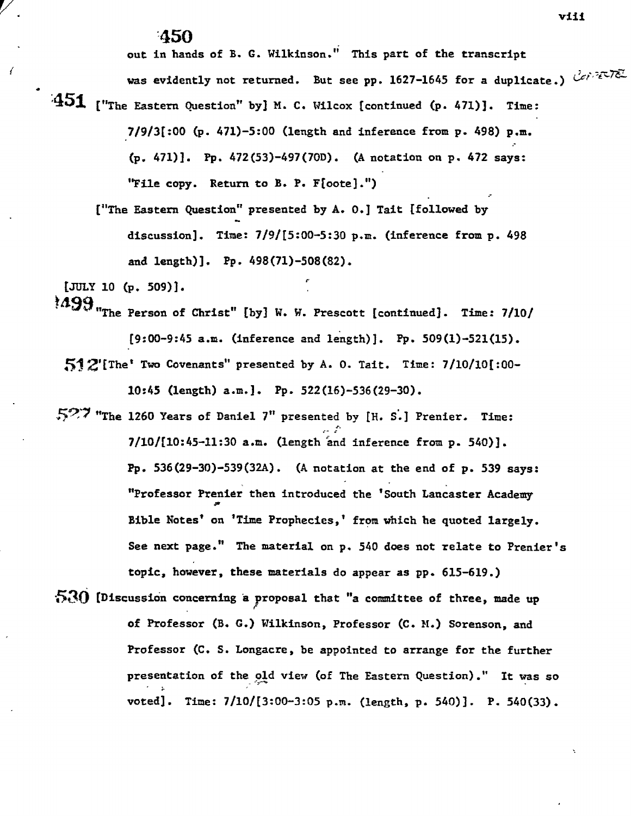## **450**

**out in hands of B. G. Wilkinson." This part of the transcript** 

**was evidently not returned. But see pp. 1627-1645 for a duplicate.)** 

**451 ("The Eastern Question" by] M. C. Wilcox [continued (p. 471)]. Time: 7/9/3[:00 (p. 471)-5:00 (length and inference from p. 498) p.m. (p. 471)]. Pp. 472(53)-497(700). (A notation on p. 472 says: "File copy. Return to B. P. F[oote].")** 

**["The Eastern Question" presented by A. 0.] Tait [followed by**  Oa **discussion]. Time: 7/9/[5:00-5:30 p.m. (inference from p. 498 and length)]. Pp. 498(71)-508(82).** 

1'

**[JULY 10 (p. 509)].** 

**td99"The Person of Christ" [by] W. W. Prescott [continued]. Time: 7/10/ [9:00-9:45 a.m. (inference and length)]. Pp. 509(1)-521(15). 51 21 [The <sup>t</sup>Two Covenants" presented by A. 0. Tait. Time: 7/10/10[:00-** 

**10:45 (length) a.m.]. Pp. 522(16)-536(29-30).** 

**54?-7 "The 1260 Years of Daniel 7" presented by [H. S..] Prenier. Time: 7/101[10:45-11:30 a.m. (length and inference from p. 540)]. Pp. 536(29-30)-539(32A). (A notation at the end of p. 539 says: "Professor Prenier then introduced the 'South Lancaster Academy Bible Notes' on 'Time Prophecies,' from which he quoted largely. See next page." The material on p. 540 does not relate to Prenier's topic, however, these materials do appear as pp. 615-619.)** 

**530 [Discussion concerning a proposal that "a committee of three, made up of Professor (B. G.) Wilkinson, Professor (C. M.) Sorenson, and Professor (C. S. Longacre, be appointed to arrange for the further presentation of the old view (of The Eastern Question)." It was so voted]. Time: 7/10/[3:00-3:05 p.m. (length, p. 540)]. P. 540(33).**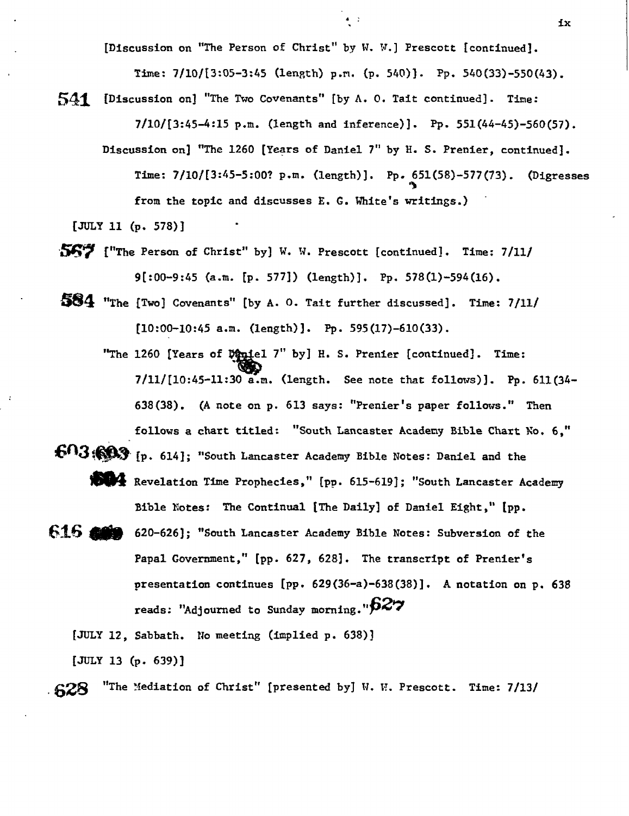**[Discussion on "The Person of Christ" by W. W.] Prescott [continued]. Time: 7/10/[3:05-3:45 (length) p.n. (p. 540)). Pp. 540(33)-550(43).** 

541 **[Discussion on] "The Two Covenants" [by A. 0. Tait continued]. Time: 7/101[3:45-4:15 p.m. (length and inference)]. Pp. 551(44-45)-560(57).** 

**Discussion on] "The 1260 [Years of Daniel 7" by E. S. Prenier, continued]. Time: 7/101[3:45-5:00? p.m. (length)]. Pp. 651(58)-577(73). (Digresses "0 from the topic and discusses E. G. White's writings.)** 

**[JULY 11 (p. 578)]** 

- **150;7 ("The Person of Christ" by] W. W. Prescott [continued]. Time: 7/11/ 9[:00-9:45 (a.m. [p. 577]) (length)]. Pp. 578(1)-594(16).**
- **Mkt "The [Two] Covenants" [by A. 0. Tait further discussed]. Time: 7/11/ [10:00-10:45 a.m. (length)]. Pp. 595(17)-610(33).** 
	- "The 1260 [Years of Dapiel 7" by] H. S. Prenier [continued]. Time: **7/11/[10:45-11:30 a.m. (length. See note that follows)]. Pp. 611(34- 638(38). (A note on p. 613 says: "Prenier's paper follows." Then follows a chart titled: "South Lancaster Academy Bible Chart No. 6,"**
- **6n3'M% [p. 614]; "South Lancaster Academy Bible Notes: Daniel and the Revelation Time Prophecies," [pp. 615-619]; "South Lancaster Academy Bible notes: The Continual [The Daily] of Daniel Eight," [pp.**
- **616 and 620-626]; "South Lancaster Academy Bible Notes: Subversion of the Papal Government," [pp. 627, 628]. The transcript of Prenier's presentation continues (pp. 629(36-0-638(38)J. A notation on p. 638 reads: "Adjourned to Sunday morning."1327**

**[JULY 12, Sabbath. No meeting (implied p. 638)]** 

**[JULY 13 (p. 639)]** 

**628 "The Mediation of Christ" [presented by] W. W. Prescott. Time: 7/13/**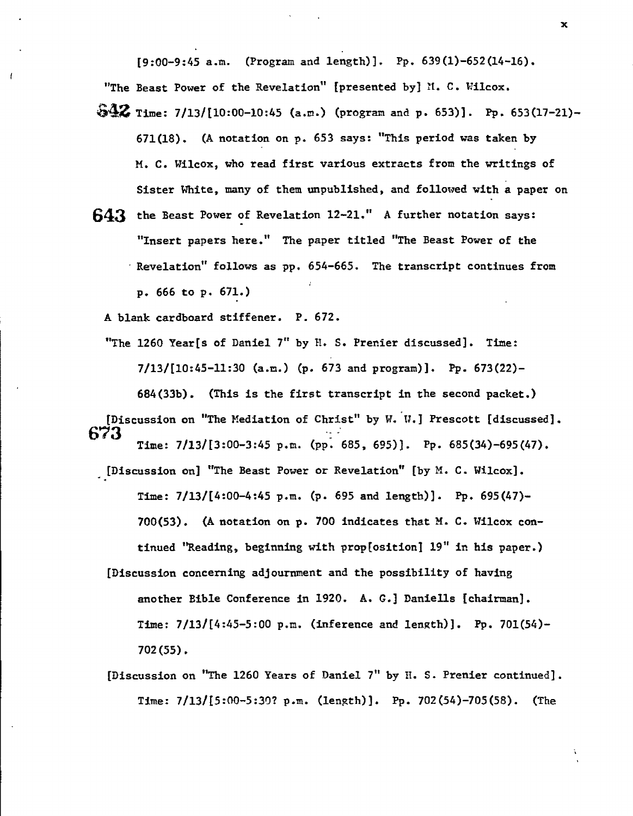**[9:00-9:45 a.m. (Program and length)]. Pp. 639(1)-652(14-16).** 

**"The Beast Power of the Revelation" [presented by] M. C. Wilcox.** 

- **S42. Time: 7/13/110:00-10:45 (a.m.) (program and p. 653)]. Pp. 653(17-21)- 671(18). (A notation on p. 653 says: "This period was taken by M. C. Wilcox, who read first various extracts from the writings of Sister White, many of them unpublished, and followed with a paper on**
- **X43 the Beast Power of Revelation 12-21." A further notation says: "Insert papers here." The paper titled "The Beast Power of the Revelation" follows as pp. 654-665. The transcript continues from p. 666 to p. 671.)**

**A blank cardboard stiffener. P. 672.** 

**"The 1260 Year[s of Daniel 7" by H. S. Prenier discussed]. Time: 7/13/[10:45-11:30 (a.m.) (p. 673 and program)]. Pp. 673(22)- 684(33b). (This is the first transcript in the second packet.)** 

**[Discussion on "The Mediation of Christ" by W.W.] Prescott [discussed]. 673 Time: 7/13/(3:00-3:45 p.m. (pp. 685, 695)]. Pp. 685(34)-695(47),** 

**[Discussion on] "The Beast Power or Revelation" [by M. C. Wilcox]. Time: 7/13/[4:00-4:45 p.m. (p. 695 and length)]. Pp. 695(47)- 700(53). (A notation on p. 700 indicates that M. C. Wilcox con**tinued "Reading, beginning with prop[osition] 19" in his paper.)

- **[Discussion concerning adjournment and the possibility of having another Bible Conference in 1920. A. G.] Daniells [chairman]. Time: 7/131[4:45-5:00 p.m. (inference and length)]. Pp. 701(54)- 702(55).**
- **[Discussion on "The 1260 Years of Daniel 7" by H. S. Prenier continued]. Time: 7/13/(5:00-5:30? p.m. (length)]. Pp. 702(54)-705(58). (The**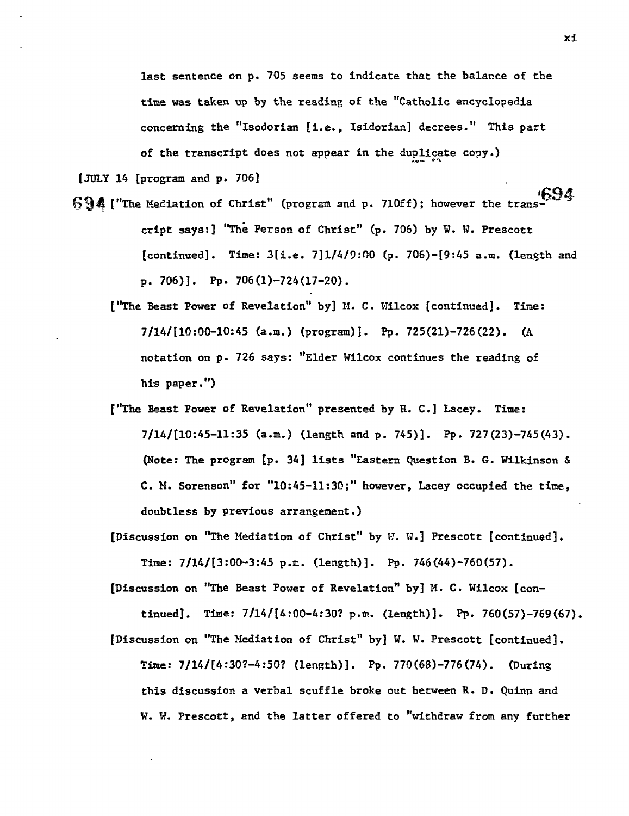**last sentence on p. 705 seems to indicate that the balance of the time was taken up by the reading of the "Catholic encyclopedia concerning the "Isodorian [i.e., Isidorian] decrees." This part**  of the transcript does not appear in the duplicate copy.)

**[JULY 14 [program and p. 706]** 

- **694** ("The Mediation of Christ" (program and p. 710ff); however the trans**cript says:] "The Person of Christ" (p. 706) by W. W. Prescott [continued]. Time: 3[1.e. 7]1/4/9:00 (p. 706)-[9:45 a.m. (length and p. 706)]. Pp. 706(1)-724(17-20).** 
	- **["The Beast Power of Revelation" by] M. C. Wilcox [continued]. Time: 7/141[10:00-10:45 (a.m.) (program)]. Pp. 725(21)-726(22). (A notation on p. 726 says: "Elder Wilcox continues the reading of his paper.")**
	- **["The Beast Power of Revelation" presented by H. C.] Lacey. Time: 7/141[10:45-11:35 (a.m.) (length and p. 745)]. Pp. 727(23)-745(43). (Note: The program (p. 34] lists "Eastern Question B. G. Wilkinson & C. M. Sorenson" for "10:45-11:30;" however, Lacey occupied the time, doubtless by previous arrangement.)**
	- **[Discussion on "The Mediation of Christ" by W. W.] Prescott [continued]. Time: 7/141[3:00-3:45 p.m. (length)]. Pp. 746(44)-760(57).**

**[Discussion on "The Beast Power of Revelation" by] M. C. Wilcox [con-**

**tinued]. Time: 71141(4:00-4:30? p.m. (length)]. Pp. 760(57)-769(67).** 

**[Discussion on "The Mediation of Christ" by] W. W. Prescott [continued]. Time: 7/14/[4:30?-4:50? (length)]. Pp. 770(68)-776(74). (During this discussion a verbal scuffle broke out between R. D. Quinn and W. W. Prescott, and the latter offered to "withdraw from any further**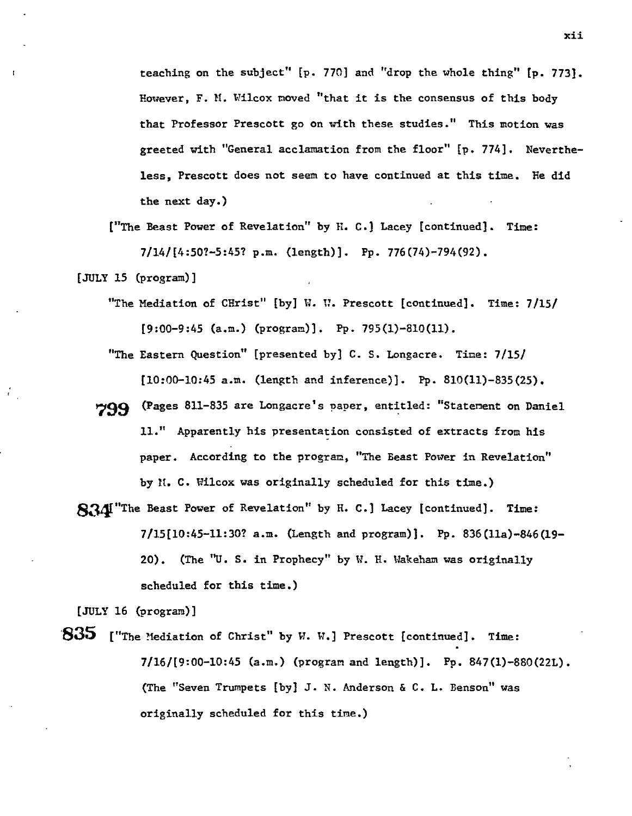**teaching on the subject" [p. 770] and "drop the whole thing" [p. 773]. However, F. M. Wilcox moved "that it is the consensus of this body that Professor Prescott go on with these studies." This motion was greeted with "General acclamation from the floor" [p. 774]. Nevertheless, Prescott does not seem to have continued at this time. He did the next day.)** 

**["The Beast Power of Revelation" by H. C.] Lacey [continued]. Time: 7/14/[4:50?-5:45? p.m. (length)]. Pp. 776(74)-794(92).** 

**[JULY 15 (program)]** 

- **"The Mediation of** CHrist" **[by] W. W. Prescott [continued]. Time: 7/15/ [9:00-9:45 (a.m.) (program)]. Pp. 795(1)-810(11).**
- **"The Eastern Question" [presented by] C. S. Longacre. Time: 7/15/ [10:00-10:45 a.m. (length and inference)]. Pp. 810(11)-835(25).**
- **799 (Pages 811-835 are Longacre's paper, entitled: "Statement on Daniel 11." Apparently his presentation consisted of extracts from his paper. According to the program, "The Beast Power in Revelation" by** M. C. Wilcox **was originally scheduled for this time.)**
- **8a "The Beast Power of Revelation" by H. C.] Lacey [continued]. Time: 7/15[10:45-11:30? a.m. (Length and program)]. Pp. 836(11a)-846(19- 20). (The "U. S. in Prophecy" by W. H. Wakeham was originally scheduled for this time.)**

**[JULY 16 (program)]** 

**805 ["The Mediation of Christ" by W. W.] Prescott [continued]. Time: 7/16/(9:00-10:45 (a.m.) (program and length)]. Pp. 847(1)-880(22L). (The "Seven Trumpets [by] J. N. Anderson & C. L. Benson" was originally scheduled for this time.)**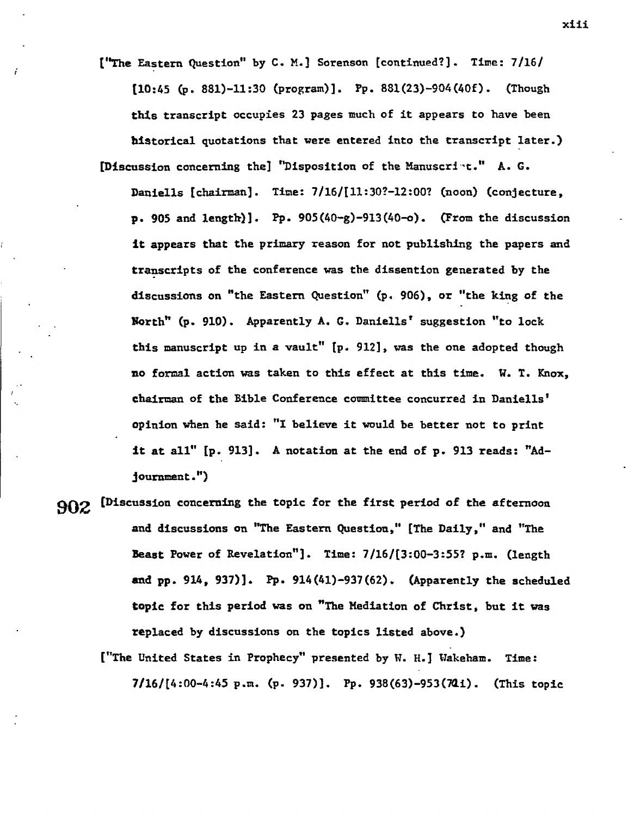**("The Eastern Question" by C. M.] Sorenson [continued?]. Time: 7/16/ [10:45 (p. 881)-11:30 (program)]. Pp. 881(23)-904(40f). (Though this transcript occupies 23 pages much of it appears to have been historical quotations that were entered into the transcript later.)** 

**[Discussion concerning the] "Disposition of the Manuscri't." A. G. Daniells [chairman]. Time: 7/16/111:30?-12:00? (noon) (conjecture, p. 905 and length)]. Pp. 905(40-g)-913(40-o). (From the discussion it appears that the primary reason for not publishing the papers and transcripts of the conference was the dissention generated by the discussions on "the Eastern Question" (p. 906), or "the king of the**  North" (p. 910). Apparently A. G. Daniells' suggestion "to lock **this manuscript up in a vault" [p. 912], was the one adopted though no formal action was taken to this effect at this time. W. T. Knox, chairman of the Bible Conference committee concurred in Daniells' opinion when he said: "1 believe it would be better not to print It at all" [p. 913]. A notation at the end of p. 913 reads: "Adjournment.")** 

**902 ['Discussion concerning the topic for the first period of the afternoon and discussions on "The Eastern Question," (The Daily," and "The**  Beast Power of Revelation"]. Time: 7/16/[3:00-3:55? p.m. (length **and pp. 914, 937)]. Pp. 914(41)-937(62). (Apparently the scheduled topic for this period was on "The Mediation of Christ, but it was replaced by discussions on the topics listed above.)** 

**("The United States in Prophecy" presented by** W. **H.] Wakeham. Time: 7/161[4:00-4:45 p.m. (p. 937)]. Pp. 938(63)-953(711i). (This topic** 

xiii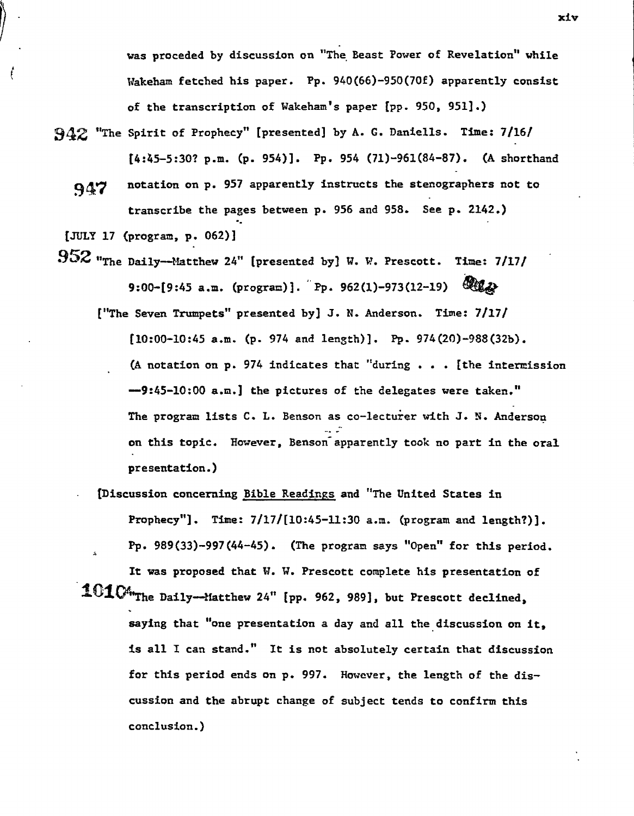**was proceded by discussion on "The Beast Power of Revelation" while Wakeham fetched his paper. Pp. 940(66)-950(70f) apparently consist of the transcription of Wakeham's paper [pp. 950, 951].)** 

- 342 **"The Spirit of Prophecy" [presented] by A. C. Daniells. Time: 7/16/ [4:45-5:30? p.m. (p. 954)]. Pp. 954 (71)-961(84-87). (A shorthand** 
	- 910 **notation on p. 957 apparently instructs the stenographers not to transcribe the pages between p. 956 and 958. See p. 2142.)**
- **[JULY 17 (program, p. 062)]**

ĺ

352 **"The Daily--Matthew 24" [presented by] W. W. Prescott. Time: 7/17/ 9:00-[9:45 a.m. (program)].** Pp. 962(1)-973(12-19)  $\mathbb{Q}$ 

**("The Seven Trumpets" presented by] J. N. Anderson. Time: 7/17/** 

**[10:00-10:45 a.m. (p. 974 and length)]. Pp. 974(20)-988(32b).**  (A **notation on p. 974 indicates that "during . . . [the intermission --9:45-10:00 a.m.] the pictures of the delegates were taken." The program lists C. L. Benson as co-lectuier with 3. N. Anderson on this topic. However, Benson- apparently took no part in the oral presentation.)** 

**. ['Discussion concerning Bible Readings and "The United States in Prophecy"]. Time:** 7/17/(10:45-11:30 **a.m. (program and length?)). Pp. 989(33)-997(44-45). (The program says "Open" for this period. It was proposed that W. W. Prescott complete his presentation of** 

**` 1 " The Daily Matthew24" [pp. 962, 989], but Prescott declined, saying that "one presentation a day and all the discussion on it, is all I can stand." It is not absolutely certain that discussion for this period ends on p. 997. However, the length of the discussion and the abrupt change of subject tends to confirm this conclusion.)** 

xiv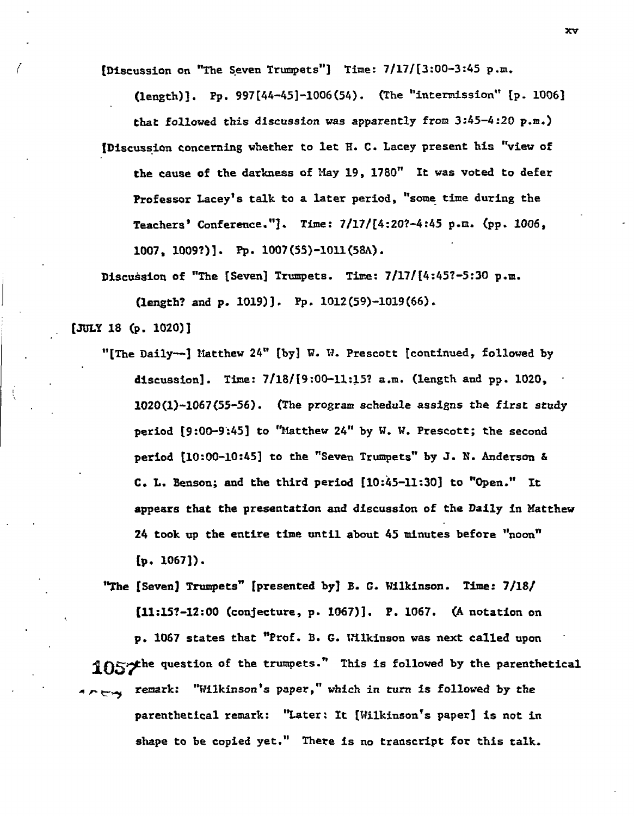**[Discussion on "The Seven Trumpets"] Time: 7/17/[3:00-3:45 p.m.** 

**(length)]. Pp. 997[44-45]-1006(54). (The "intermission" [p. 1006] that followed this discussion was apparently from 3:45-4:20 p.m.) (Discussion concerning whether to let E. C. Lacey present his "view of the cause of the darkness of May 19, 1780" It was voted to defer Professor Lacey's talk to a later period, "some time during the Teachers' Conference."]. Time: 7/17/[4:20?-4:45 p.n. (pp. 1006, 1007, 1009?)]. Pp. 1007(55)-1011(58A).** 

**Discuision of "The [Seven] Trumpets. Time: 7/17/(4:45?-5:30 p.m.** 

**(length? and p. 1019)]. Pp. 1012(59)-1019(66).** 

**[3DLY 18 (p. 1020)]** 

**"[The Daily--] Matthew 24" [by] W. W. Prescott [continued, followed by discussion]. Time: 7/18/[9:00-11:15? a.m. (length and pp. 1020, 1020(1)-1067(55-56). (The program schedule assigns the first study period [9:00-9:45] to "Matthew 24" by W. W. Prescott; the second period [10:00-10:45] to the "Seven Trumpets" by J. W. Anderson & C. L. Benson; and the third period [10:45-11:30] to "Open." It appears that the presentation and discussion of the Daily in Matthew 24 took up the entire time until about 45 minutes before "noon" [p. 1067]).** 

**"The (Seven) Trumpets" [presented by] B. C. Wilkinson. Time: 7/18/ (11:15?-12:00 (conjecture, p. /067)]. P. 1067. (A notation on p. 1067 states that "Prof. B. G. Wilkinson was next called upon**  1057<sup>the</sup> question of the trumpets." This is followed by the parenthetical **remark: "Wilkinson's paper," which in turn is followed by the**   $$ **parenthetical remark: "Later: It [Wilkinson's paper] is not in shape to be copied yet." There is no transcript for this talk.**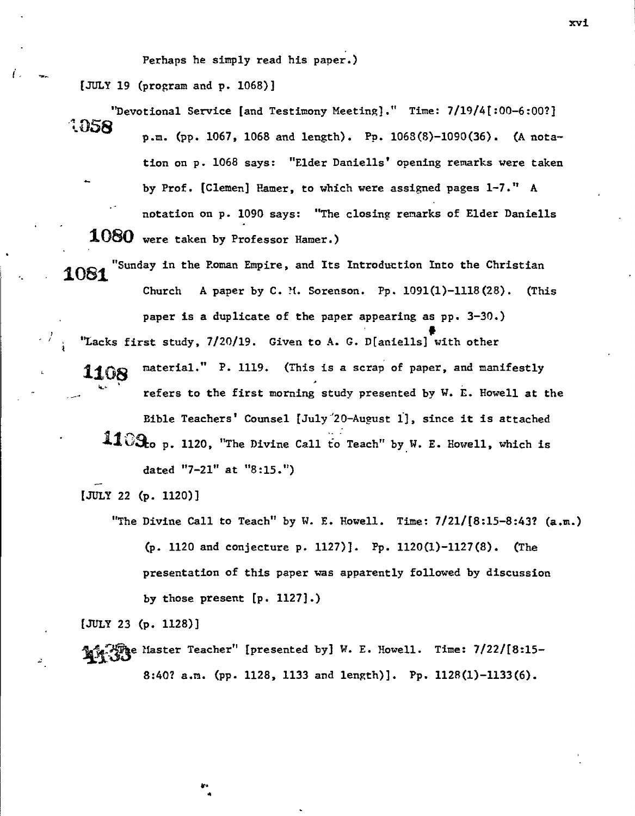**Perhaps he simply read his paper.)** 

**[JULY 19 (program and p. 1068)]** 

Ĺ.

- **"Devotional Service [and Testimony Meeting]." Time: 7/19/4[:00-6:00?]**  1058 **p.m. (pp. 1067, 1068 and length). Pp. 1068(8)-1090(36). (A notation on p. 1068 says: "Elder Daniells' opening remarks were taken by Prof. [Clemen] Hamer, to which were assigned pages 1-7." A notation on p. 1090 says: "The closing remarks of Elder Daniells 1080 were taken by Professor Hamer.)**
- 1081 **"Sunday in the Roman Empire, and Its Introduction Into the Christian Church A paper by C. M. Sorenson. Pp. 1091(1)-1118(28). (This paper is a duplicate of the paper appearing as pp. 3-30.) "Lacks first study, 7/20/19. Given to A. G. D[aniells] with other** 
	- **material." P. 1119. (This is a scrap of paper, and manifestly**  1108 **refers to the first morning study presented by W. E. Howell at the Bible Teachers' Counsel [July'20-August 1], since it is attached**  1109<sub>co p.</sub> 1120, "The Divine Call to Teach" by W. E. Howell, which is **dated "7-21" at "8:15.")**

**[JULY 22 (p. 1120)]** 

**"The Divine Call to Teach" by W. E. Howell. Time: 7/21/18:15-8:43? (a.m.) (p. 1120 and conjecture p. 1127)]. Pp. 1120(1)-1127(8). (The presentation of this paper was apparently followed by discussion by those present [p. 1127].)** 

**[JULY 23 (p. 1128)]** 

**Ty Master Teacher" [presented by] W. E. Howell. Time: 7/22/[8:15-8:40? a.m. (pp. 1128, 1133 and length)]. Pp. 1128(1)-1133(6).** 

xvi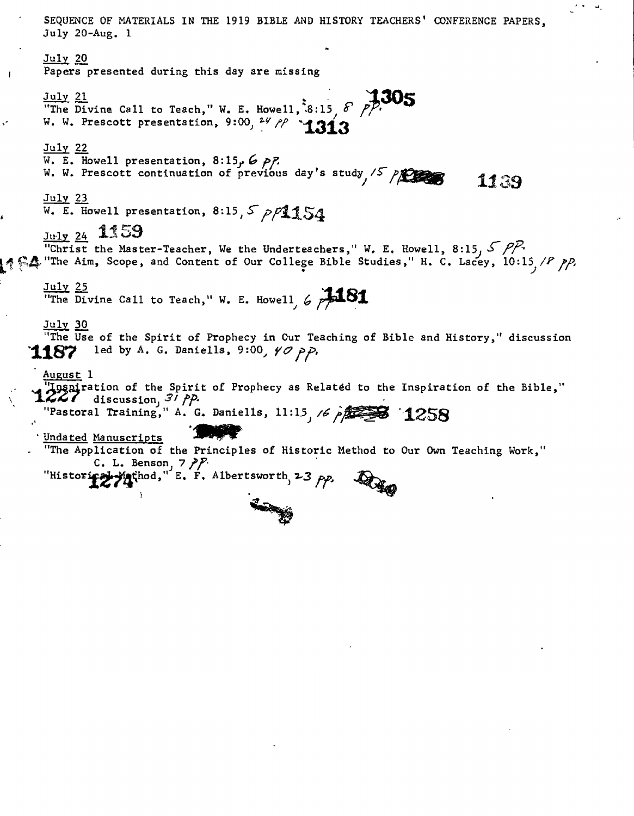ريدا الأراني **SEQUENCE OF MATERIALS IN THE 1919 BIBLE AND HISTORY TEACHERS' CONFERENCE PAPERS, July 20-Aug. 1 July 20 Papers presented during this day are missing**   $\frac{July}{i}$   $\frac{21}{21}$  **The Divine Call to Teach," W. E. Howell**,  $38:15$   $\frac{8}{27}$   $\frac{305}{27}$ W. W. Prescott presentation, 9:00, 24 pp **1313 July 22 W. E. Howell presentation, 8:15f 6 /57 W. W. Prescott continuation of previous day's study** */clans I*<sup><sup>15</sup> / *EEE* **11** 39</sup> **July 23**   $\overline{W}$ . E. Howell presentation, 8:15,  $\overline{S}$   $\rho \overline{P}$ 154 **1159 "Christ the Master-Teacher, We the Underteachers," W. E. Howell, 8:15, 5 PP. tool 414 The Aim, Scope, and Content of Our College Bible Studies," H. C. Lacey, 10:15 /P pp. Julx 25 "The Divine Call to Teach," W. E. Howell,**  $6$  $\cancel{\cancel{11}}$ **July 30 "The Use of the Spirit of Prophecy in Our Teaching of Bible and History," discussion 1187** led by A. G. Daniells, 9:00, 40 pp. **August 1 i** Inspiration of the Spirit of Prophecy as Related to the Inspiration of the Bible," discussion,  $3^7$   $PP$ . **The Concession of A. G. Daniells, 11:15 6 provided 1258 'Undated Manuscripts "The Application of the Principles of Historic Method to Our Own Teaching Work," C.** L. Benson,  $7$   $\cancel{P}$ . "Historical-*Yathod*," E. F. Albertsworth,  $23$   $\rho p$ , L.

J.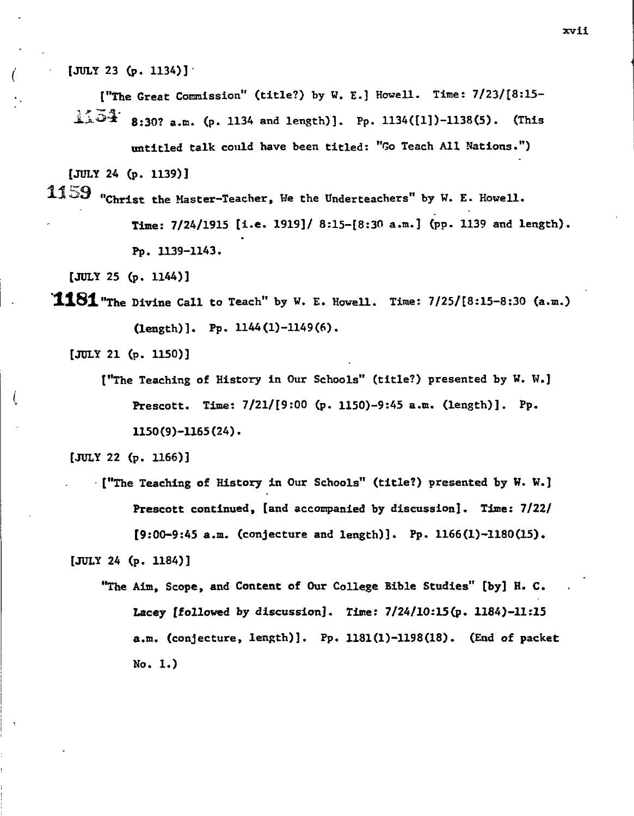**[JULY 23 (p. 1134)]** 

**["The Great Commission" (title?) by W. E.] Howell. Time: 7/231[8:15-**  $\frac{1}{2}\sqrt[3]{3}$  8:30? a.m. (p. 1134 and length)]. Pp. 1134([1])-1138(5). (This

**untitled talk could have been titled: "Go Teach All Nations.")** 

**[JULY 24 (p. 1139)]** 

1159 **"Christ the Master-Teacher, We the Underteachers" by W. E. Howell. Time: 7/24/1915 [i.e. 1919]/ 8:15-[8:30 a.m.] (PP- 1139 and length). Pp. 1139-1143.** 

**[JULY 25 (p. 1144)]** 

**1181** "The Divine Call to Teach" by W. E. Howell. Time: 7/25/[8:15-8:30 (a.m.) **(length)]. Pp. 1144(1)-1149(6).** 

**[JULY 21 (p. 1150)]** 

**["The Teaching of History in Our Schools" (title?) presented by W. W.]**  ( **Prescott. Time: 7/211[9:00 (p. 1150)-9:45 a.m. (length)]. Pp. 1150(9)-1165(24).** 

**[JULY 22 (p. 1166)]** 

**<sup>[&</sup>quot;The Teaching of History in Our Schools" (title?) presented by W. W.] Prescott continued, [and accompanied by discussion]. Time: 7/22/ [9:00-9:45 a.m. (conjecture and length)]. Pp. 1166(1)-1180(15). [JULY 24 (p. 1184)]** 

**<sup>&</sup>quot;The Aim, Scope, and Content of Our College Bible Studies" [by] H. C. Lacey [followed by discussion]. Time: 7/24/10:15(p. 1184)-11:25 a.m. (conjecture, length)]. Pp. 1181(1)-1198(18). (End of packet No. 1.)**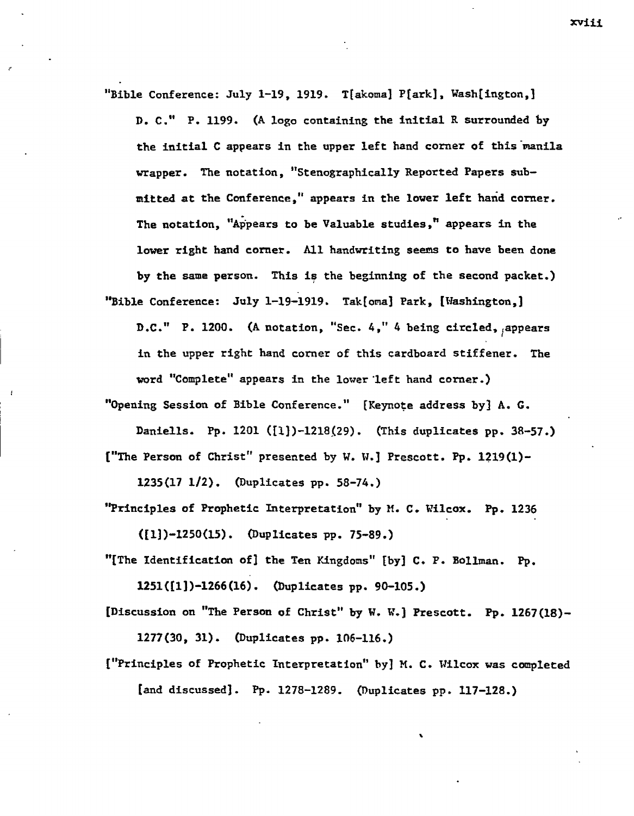"Bible Conference: July 1-19, 1919. T[akoma] P[ark], Wash[ington,] **D. C." P. 1199. (A logo containing the initial R surrounded by**  the initial C appears in the upper left hand corner of this manila **wrapper. The notation, "Stenographically Reported Papers submitted at the Conference," appears in the lower left hand corner. The notation, "Appears to be Valuable studies," appears in the lower right hand corner. All handwriting seems to have been done by the same person. This is the beginning of the second packet.) "Bible Conference: July 1-19-1919. Tak[oma] Park, [Washington,)** 

**D.C."** P. 1200. (A notation, "Sec. 4," 4 being circled, appears **in the upper right hand corner of this cardboard stiffener. The word "Complete" appears in the lower left hand corner.)** 

**"Opening Session of Bible Conference." [Keynote address by] A. G.** 

Daniells. Pp. 1201 ([1])-1218(29). (This duplicates pp. 38-57.) **["The Person of Christ" presented by W. W.] Prescott. Pp. 1219(1)-**

**1235(17 112). (Duplicates pp. 58-74.)** 

**"Principles of Prophetic Interpretation" by M. C. Wilcox. Pp. 1236** 

**([1])-1250(15). (Duplicates pp. 75-89.)** 

**"[The Identification of] the Ten Kingdoms" [by] C. P. Bollman. Pp.** 

**1251([1])-1266(16). (Duplicates pp. 90-105.)** 

**[Discussion on "The Person of Christ" by W. W.) Prescott. Pp. 1267(18)- 1277(30, 31). (Duplicates pp. 106-116.)** 

**["Principles of Prophetic Interpretation" by] M. C. Wilcox was completed [and discussed]. Pp. 1278-1289. (Duplicates pp. 117-128.)** 

xviii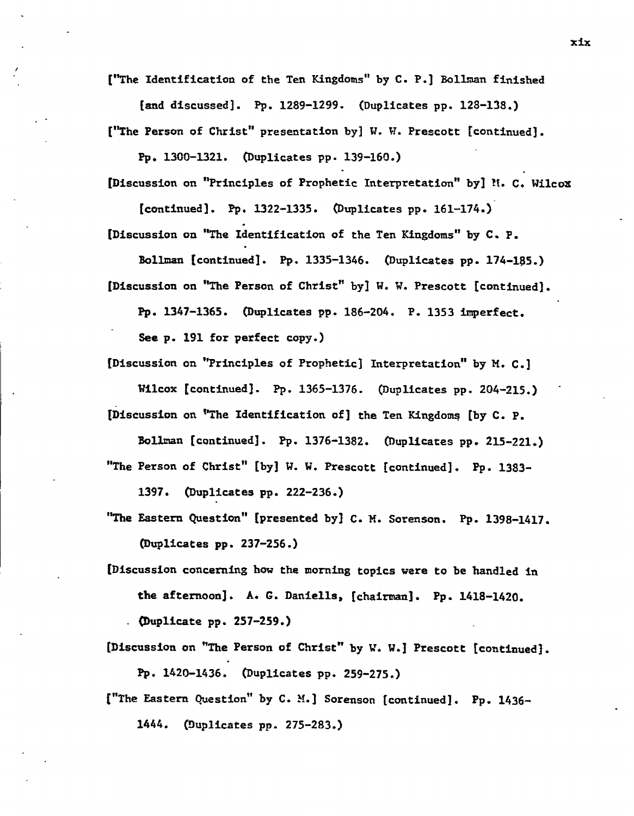**["The Identification of the Ten Kingdoms" by C. P.] Bollman finished** 

**[and discussed]. Pp. 1289-1299. (Duplicates pp. 128-138.)** 

**("The Person of Christ" presentation by] W. W. Prescott [continued].** 

**Pp. 1300-1321. (Duplicates pp. 139-160.)** 

**[Discussion on "Principles of Prophetic Interpretation" by] M. C. Wilcox** 

**[continued]. Pp. 1322-1335. (Duplicates pp. 161-174.) [Discussion on "The Identification of the Ten Kingdoms" by C. P.** 

**Bollman [continued]. Pp. 1335-1346. (Duplicates pp. 174-185.) [Discussion on "The Person of Christ" by] W. W. Prescott [continued].** 

**Pp. 1347-1365. (Duplicates pp. 186-204. P. 1353 imperfect.** 

**See p. 191 for perfect copy.)** 

**[Discussion on "Principles of Prophetic] Interpretation" by M. C.] Wilcox [continued]. Pp. 1365-1376. (Duplicates pp. 204-215.)** 

**[Discussion on "The Identification of] the Ten Kingdoms [by C. P.** 

**Bollman [Continued]. Pp. 1376-1382. (Duplicates pp. 215-221.)** 

**"The Person of Christ" [by] W. W. Prescott [continued]. Pp. 1383-** 

**1397. (Duplicates pp. 222-236.)** 

**"The Eastern Question" [presented by] C. M. Sorenson. Pp. 1398-1417. (Duplicates pp. 237-256.)** 

**[Discussion concerning how the morning topics were to be handled in the afternoon]. A. G. Daniells, [chairman]. Pp. 1418-1420.** 

**. (Duplicate pp. 257-259.)** 

- **[Discussion on "The Person of Christ" by W. W.] Prescott [continued). Pp. 1420-1436. (Duplicates pp. 259-275.)**
- **("The Eastern Question" by C. M.] Sorenson [continued]. Pp. 1436-**

**1444. (Duplicates pp. 275-283.)**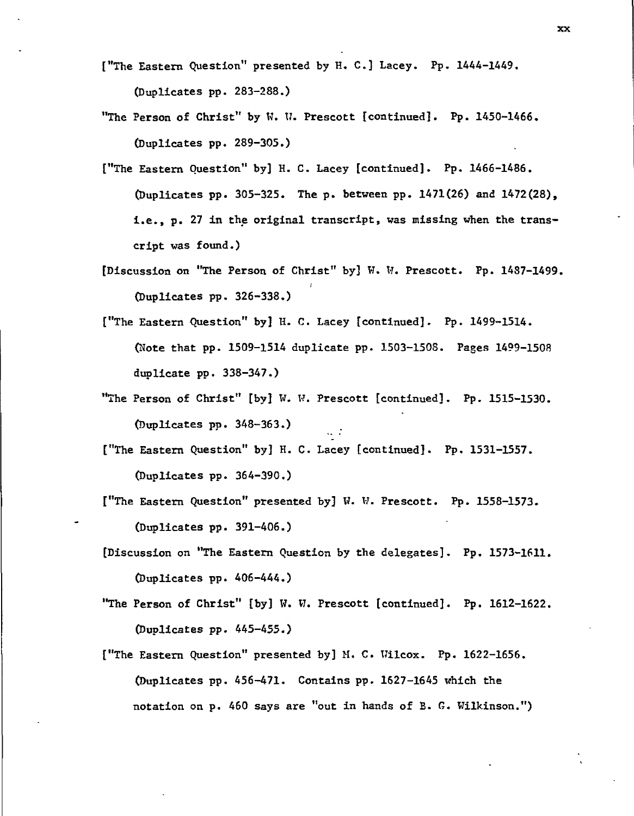- **["The Eastern Question" presented by B. C.] Lacey. Pp. 1444-1449. (Duplicates pp. 283-288.)**
- **"The Person of Christ" by W. U. Prescott [continued]. Pp. 1450-1466. (Duplicates pp. 289-305.)**
- **["The Eastern Question" by] H. C. Lacey [continued]. Pp. 1466-1486. (Duplicates pp. 305-325. The p. between pp. 1471(26) and 1472(28), i.e., p. 27 in the original transcript, was missing when the transcript was found.)**
- **[Discussion on "The Person of Christ" by] W. R. Prescott. Pp. 1487-1499. (Duplicates pp. 326-338.)**
- **["The Eastern Question" by] H. C. Lacey [continued]. Pp. 1499-1514. (Note that pp. 1509-1514 duplicate pp. 1503-1508. Pages 1499-1508 duplicate pp. 338-347.)**
- **"The Person of Christ" [by] W. W. Prescott [continued]. Pp. 1515-1530. (Duplicates pp. 348-363.)**
- **["The Eastern Question" by] H. C. Lacey [continued]. Pp. 1531-1557. (Duplicates pp. 364-390.)**
- **["The Eastern Question" presented by] W. W. Prescott. Pp. 1558-1573. (Duplicates pp. 391-406.)**
- **[Discussion on "The Eastern Question by the delegates]. Pp. 1573-1611. (Duplicates pp. 406-444.)**
- **"The Person of Christ" [by] W. W. Prescott [continued]. Pp. 1612-1622. (Duplicates pp. 445-455.)**
- **("The Eastern Question" presented by] M. C. Wilcox. Pp. 1622-1656. (Duplicates pp. 456-471. Contains pp. 1627-1645 which the notation on p. 460 says are "out in hands of B. G. Wilkinson.")**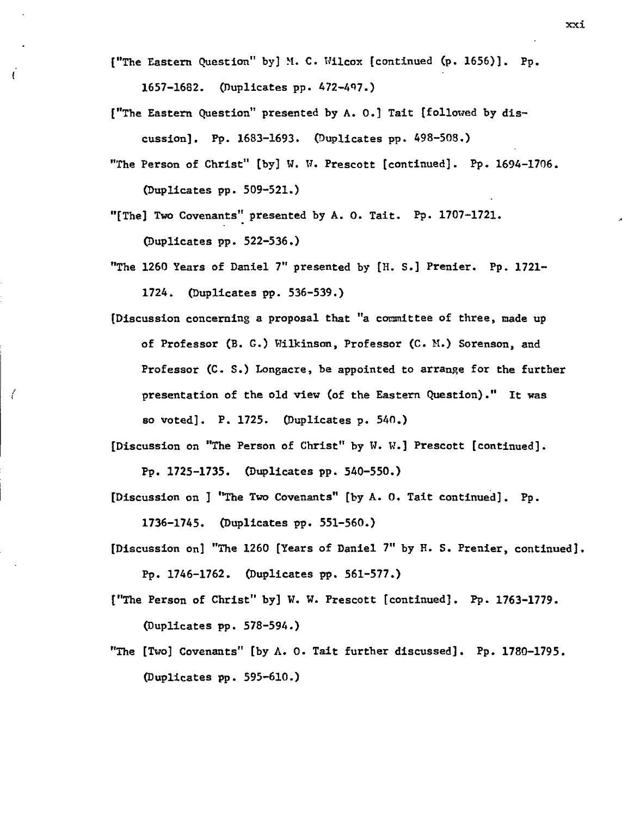**["The Eastern Question" by] M. C. Wilcox [continued (p. 1656)]. Pp. 1657-1682. (Duplicates pp. 472-47.)** 

 $\mathfrak{t}$ 

€

**["The Eastern Question" presented by A. O.] Tait [followed by discussion]. Pp. 1683-1693. (Duplicates pp. 498-508.)** 

**"The Person of Christ" [by] W. W. Prescott [continued]. Pp. 1694-1706. (Duplicates pp. 509-521.)** 

**"[The] Two Covenants" presented by A. 0. Tait. Pp. 1707-1721. (Duplicates pp. 522-536.)** 

**"The 1260 Years of Daniel 7" presented by [H. S.] Prenier. Pp. 1721- 1724. (Duplicates pp. 536-539.)** 

**[Discussion concerning a proposal that "a committee of three, made up of Professor (B. G.) Wilkinson, Professor (C. N.) Sorenson, and Professor (C. S.) Longacre, be appointed to arrange for the further presentation of the old view (of the Eastern Question)." It was so voted]. P. 1725. (Duplicates p. 540.)** 

**[Discussion on "The Person of Christ" by W. W.] Prescott [continued]. Pp. 1725-1735. (Duplicates pp. 540-550.)** 

**[Discussion on ] "The Two Covenants" [by A. 0. Tait continued]. Pp. 1736-1745. (Duplicates pp. 551-560.)** 

- **[Discussion on] "The 1260 [Years of Daniel 7" by E. S. Prenier, continued]. Pp. 1746-1762. (Duplicates pp. 561-577.)**
- **["The Person of Christ" by] W. W. Prescott [continued]. Pp. 1763-1779. (Duplicates pp. 578-594.)**
- **"The [Two] Covenants" [by A. 0. Tait further discussed]. Pp. 1780-1795. (Duplicates pp. 595-610.)**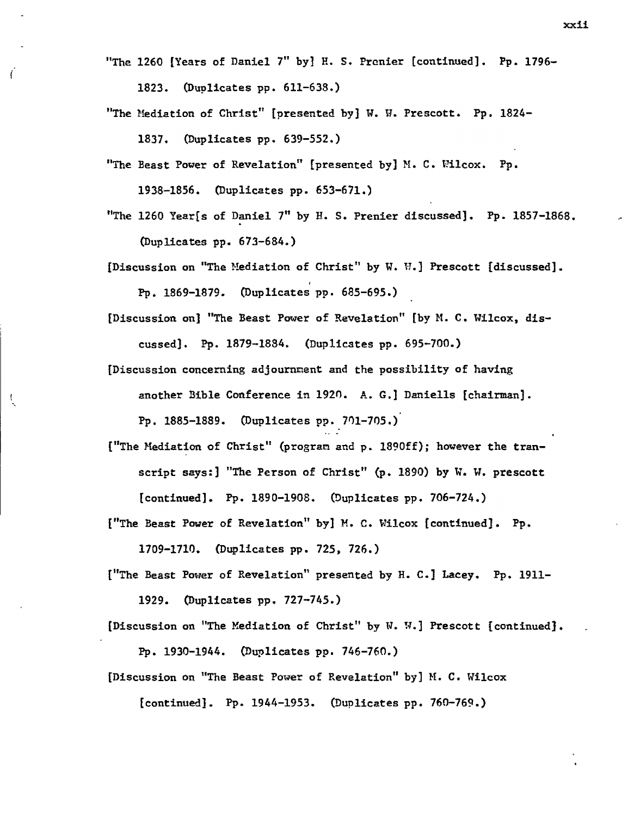**"The 1260 [Years of Daniel 7" by] H. S. Prenier [continued]. Pp. 1796-** 

**1823. (Duplicates pp. 611-638.)** 

Í

Ă

**"The Mediation of Christ" [presented by] W. W. Prescott. Pp. 1824-** 

**1837. (Duplicates pp. 639-552.)** 

- **"The Beast Power of Revelation" [presented by] M. C. Wilcox. Pp. 1938-1856. (Duplicates pp. 653-671.)**
- **"The 1260 Year[s of Daniel 7" by H. S. Prenier discussed]. Pp. 1857-1868. (Duplicates pp. 673-684.)**
- **[Discussion on "The Mediation of Christ" by W. W.] Prescott (discussed]. Pp. 1869-1879. (Duplicates pp. 685-695.)**
- **[Discussion on] "The Beast Power of Revelation" [by M. C. Wilcox, discussed]. Pp. 1879-1884. (Duplicates pp. 695-700.)**
- **[Discussion concerning adjournment and the possibility of having another Bible Conference in 1920. A. G.] Daniells [chairman]. Pp. 1885-1889. (Duplicates pp. 701-705.)**
- **("The Mediation of Christ" (program and p. 1890ff); however the transcript says:] "The Person of Christ" (p. 1890) by W. W. prescott [continued]. Pp. 1890-1908. (Duplicates pp. 706-724.)**

**["The Beast Power of Revelation" by] M. C. Wilcox [continued]. Pp.** 

**1709-1710. (Duplicates pp. 725, 726.)** 

**["The Beast Power of Revelation" presented by H. C.] Lacey. Pp. 1911- 1929. (Duplicates pp. 727-745.)** 

**[Discussion on "The Mediation of Christ" by W. W.] Prescott [continued]. Pp. 1930-1944. (Duplicates pp. 746-760.)** 

**[Discussion on "The Beast Power of Revelation" by] M. C. Wilcox** 

**[continued]. Pp. 1944-1953. (Duplicates pp. 760-769.)**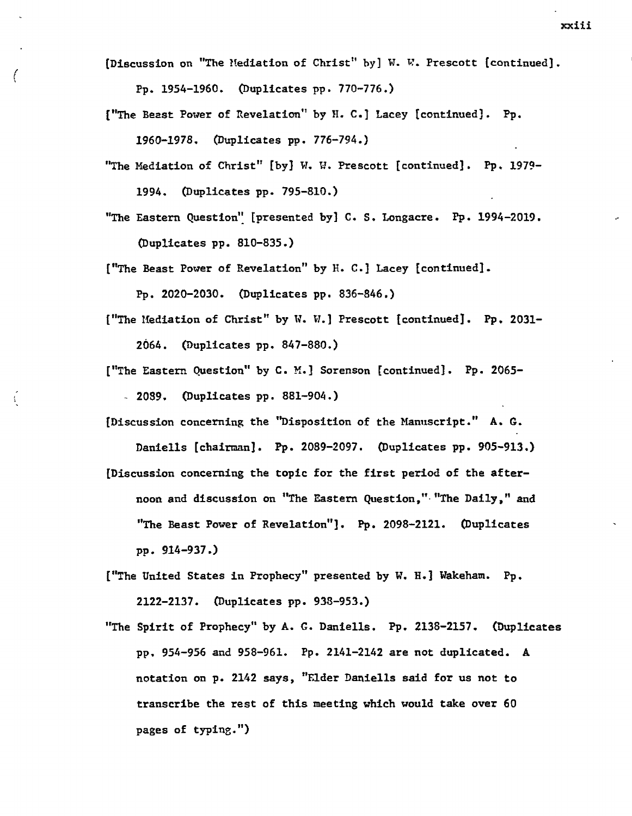**[Discussion on "The Mediation of Christ" by] W. W. Prescott [continued].** 

**Pp. 1954-1960. (Duplicates pp. 770-776.)** 

**["The Beast Power of Revelation" by H. C.] Lacey [continued]. Pp. 1960-1978. (Duplicates pp. 776-794.)** 

**"The Mediation of Christ" [by] W. W. Prescott [continued]. Pp. 1979- 1994. (Duplicates pp. 795-810.)** 

**"The Eastern Question" [presented by] C. S. Longacre. Pp. 1994-2019. (Duplicates pp. 810-835.)** 

**["The Beast Power of Revelation" by H. C.] Lacey [continued].** 

**Pp. 2020-2030. (Duplicates pp. 836-846.)** 

**["The Mediation of Christ" by W. W.] Prescott [continued]. Pp. 2031- 2064. (Duplicates pp. 847-880.)** 

**["The Eastern Question" by C. M.] Sorenson [continued]. Pp. 2065-** 

**- 2089. (Duplicates pp. 881-904.)** 

 $\frac{1}{3}$ 

**[Discussion concerning the "Disposition of the Manuscript." A. G.** 

**Daniells [chairman]. Pp. 2089-2097. (Duplicates pp. 905-913.) [Discussion concerning the topic for the first period of the afternoon and discussion on "The Eastern Question," "The Daily," and "The Beast Power of Revelation"]. Pp. 2098-2121. (Duplicates pp. 914-937.)** 

**["The United States in Prophecy" presented by W. H.] Wakeham. Pp. 2122-2137. (Duplicates pp. 938-953.)** 

**"The Spirit of Prophecy" by A. G. Daniells. Pp. 2138-2157. (Duplicates pp. 954-956 and 958-961. Pp. 2141-2142 are not duplicated. A notation on p. 2142 says, "Elder Daniells said for us not to transcribe the rest of this meeting which would take over 60 pages of typing.")**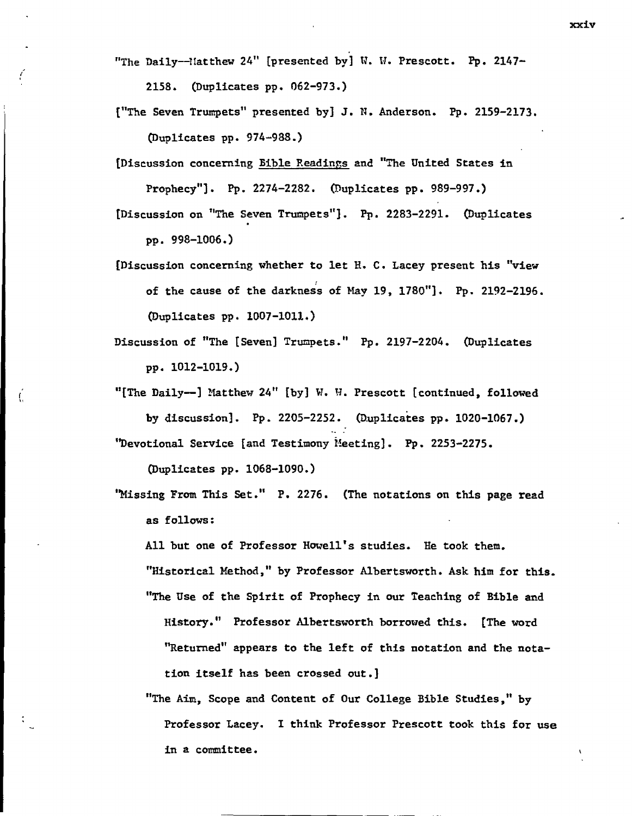"The Daily--Matthew 24" [presented by] W. W. Prescott. Pp. 2147-

**2158. (Duplicates pp. 062-973.)** 

- **["The Seven Trumpets" presented by] J. N. Anderson. Pp. 2159-2173. (Duplicates pp. 974-988.)**
- **[Discussion concerning Bible Readings and "The United States in Prophecy"]. Pp. 2274-2282. (Duplicates pp. 989-997.)**
- **[Discussion on "The Seven Trumpets"]. Pp. 2283-2291. (Duplicates pp. 998-1006.)**
- **[Discussion concerning whether to let H. C. Lacey present his "view of the cause of the darkness of May 19, 1780"]. Pp. 2192-2196. (Duplicates pp. 1007-1011.)**
- **Discussion of "The [Seven] Trumpets." Pp. 2197-2204. (Duplicates pp. 1012-1019.)**
- **"[The Daily--] Matthew 24" [by] U. W. Prescott [continued, followed by discussion]. Pp. 2205-2252. (Duplicates pp. 1020-1067.) "Devotional Service [and Testimony Meeting]. Pp. 2253-2275.**

**(Duplicates pp. 1068-1090.)** 

**'Missing From This Set." P. 2276. (The notations on this page read as follows:** 

**All but one of Professor Howell's studies. He took them. "Historical Method," by Professor Albertsworth. Ask him for this. "The Use of the Spirit of Prophecy in our Teaching of Bible and History." Professor Albertsworth borrowed this. [The word** 

**"Returned" appears to the left of this notation and the notation itself has been crossed out.]** 

**"The Aim, Scope and Content of Our College Bible Studies," by Professor Lacey. I think Professor Prescott took this for use in a committee.**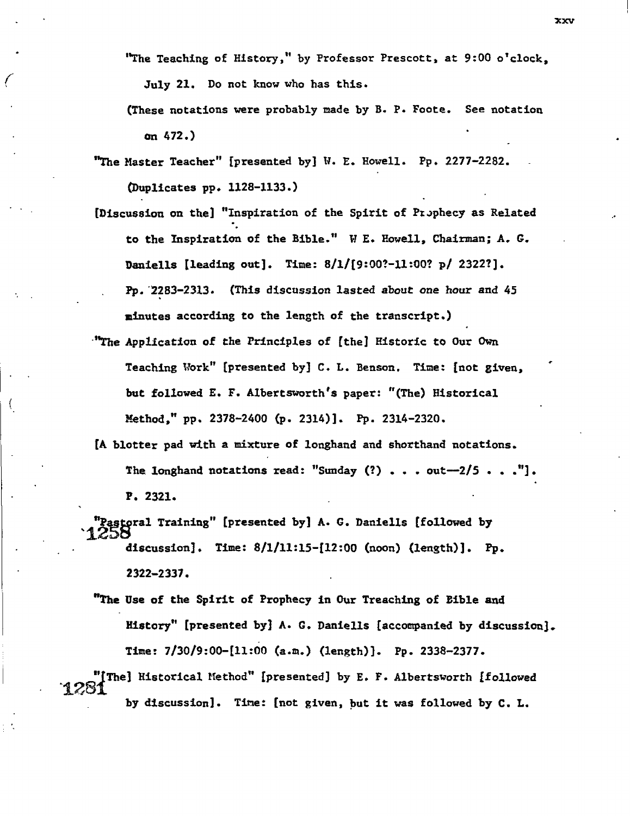**"The Teaching of History," by Professor Prescott, at 9:00 o'clock,** 

**July 21. Do not know who has this.** 

**(These notations were probably made by B. P. Foote. See notation on 472.)** 

**"The Master Teacher" [presented by] W. E. Howell. Pp. 2277-2282. (Duplicates pp. 1128-1133.)** 

**[Discussion on the] "Inspiration of the Spirit of PrJphecy as Related to the Inspiration of the Bible." W E. Howell, Chairman; A. G. Daniells [leading out]. Time: 8/1/[9:00?-11:00? p/ 2322?]. Pp. 2283-2313. (This discussion lasted about one hour and 45 minutes according to the length of the transcript.)** 

- *"The* **Application of the Principles of [the] Historic to Our Own Teaching Work" [presented by] C. L. Benson. Time: [not given, but followed E. F. Albertsworth's paper: "(The) Historical Method," pp. 2378-2400 (p. 2314)]. Pp. 2314-2320.**
- **[A blotter pad with a mixture of longhand and shorthand notations. The longhand notations read: "Sunday (?) . . . out--2/5 . . P. 2321.**

'1. **"PaStOral Training" [presented by] A. G. Daniells [followed by**  25b1 **discussion]. Time: 8/1/11:15-112:00 (noon) (length)]. Pp. 2322-2337.** 

**"The Use of the Spirit of Prophecy in Our Treaching of Bible and History" [presented by] A. G. Daniells [accompanied by discussion]. Time: 7/30/9:00-[11:00 (a.m.) (length)]. Pp. 2338-2377.** 

**"[The] Historical Method" [presented] by E. F. Albertsworth [followed**  n1261. **by discussion]. Tine: [not given, but it was followed by C. L.**